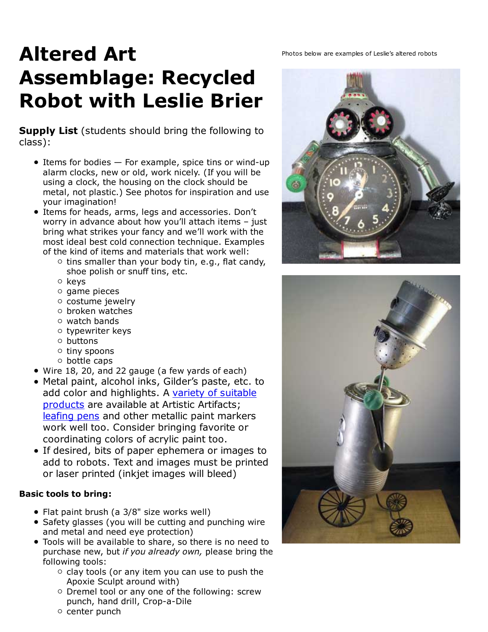## Altered Art **Photos below are examples of Leslie's altered robots** Assemblage: Recycled Robot with Leslie Brier

**Supply List** (students should bring the following to class):

- $\bullet$  Items for bodies  $-$  For example, spice tins or wind-up alarm clocks, new or old, work nicely. (If you will be using a clock, the housing on the clock should be metal, not plastic.) See photos for inspiration and use your imagination!
- **•** Items for heads, arms, legs and accessories. Don't worry in advance about how you'll attach items – just bring what strikes your fancy and we'll work with the most ideal best cold connection technique. Examples of the kind of items and materials that work well:
	- $\circ$  tins smaller than your body tin, e.g., flat candy, shoe polish or snuff tins, etc.
	- o keys
	- $\circ$  game pieces
	- o costume jewelry
	- $\circ$  broken watches
	- $\circ$  watch bands
	- $\circ$  typewriter keys
	- $\circ$  buttons
	- $\circ$  tiny spoons
	- bottle caps
- Wire 18, 20, and 22 gauge (a few yards of each)
- Metal paint, alcohol inks, Gilder's paste, etc. to add color and highlights. A variety of suitable products are available at Artistic Artifacts; leafing pens and other metallic paint markers work well too. Consider bringing favorite or coordinating colors of acrylic paint too.
- If desired, bits of paper ephemera or images to add to robots. Text and images must be printed or laser printed (inkjet images will bleed)

## Basic tools to bring:

- Flat paint brush (a 3/8" size works well)
- Safety glasses (you will be cutting and punching wire and metal and need eye protection)
- Tools will be available to share, so there is no need to purchase new, but if you already own, please bring the following tools:
	- $\circ$  clay tools (or any item you can use to push the Apoxie Sculpt around with)
	- o Dremel tool or any one of the following: screw punch, hand drill, Crop-a-Dile
	- $\circ$  center punch